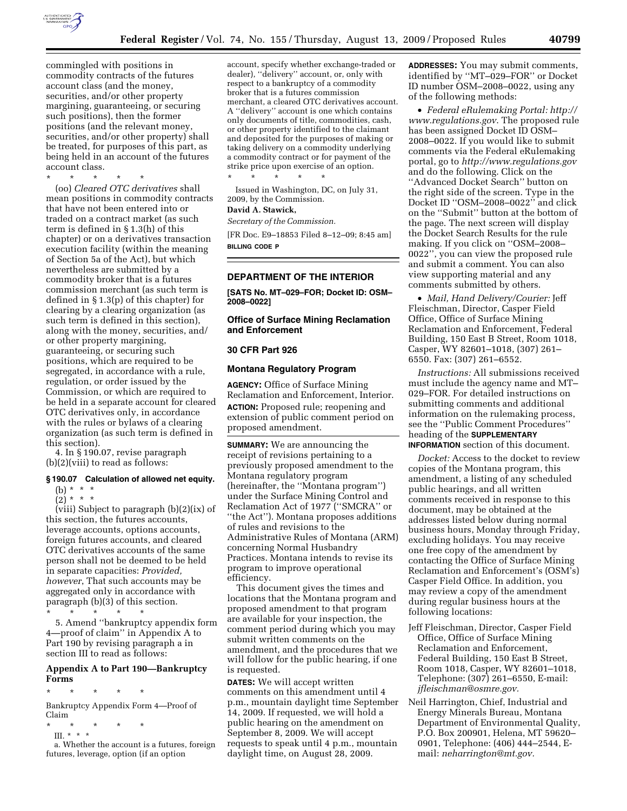

commingled with positions in commodity contracts of the futures account class (and the money, securities, and/or other property margining, guaranteeing, or securing such positions), then the former positions (and the relevant money, securities, and/or other property) shall be treated, for purposes of this part, as being held in an account of the futures account class.

\* \* \* \* \*

(oo) *Cleared OTC derivatives* shall mean positions in commodity contracts that have not been entered into or traded on a contract market (as such term is defined in § 1.3(h) of this chapter) or on a derivatives transaction execution facility (within the meaning of Section 5a of the Act), but which nevertheless are submitted by a commodity broker that is a futures commission merchant (as such term is defined in § 1.3(p) of this chapter) for clearing by a clearing organization (as such term is defined in this section), along with the money, securities, and/ or other property margining, guaranteeing, or securing such positions, which are required to be segregated, in accordance with a rule, regulation, or order issued by the Commission, or which are required to be held in a separate account for cleared OTC derivatives only, in accordance with the rules or bylaws of a clearing organization (as such term is defined in this section).

4. In § 190.07, revise paragraph (b)(2)(viii) to read as follows:

## **§ 190.07 Calculation of allowed net equity.**

(b) \* \* \*

 $(2) * * * *$ 

(viii) Subject to paragraph (b)(2)(ix) of this section, the futures accounts, leverage accounts, options accounts, foreign futures accounts, and cleared OTC derivatives accounts of the same person shall not be deemed to be held in separate capacities: *Provided, however*, That such accounts may be aggregated only in accordance with paragraph (b)(3) of this section.

\* \* \* \* \*

5. Amend ''bankruptcy appendix form 4—proof of claim'' in Appendix A to Part 190 by revising paragraph a in section III to read as follows:

# **Appendix A to Part 190—Bankruptcy Forms**

\* \* \* \* \*

Bankruptcy Appendix Form 4—Proof of Claim

- \* \* \* \* \*
- III. \* \* \*

a. Whether the account is a futures, foreign futures, leverage, option (if an option

account, specify whether exchange-traded or dealer), ''delivery'' account, or, only with respect to a bankruptcy of a commodity broker that is a futures commission merchant, a cleared OTC derivatives account. A ''delivery'' account is one which contains only documents of title, commodities, cash, or other property identified to the claimant and deposited for the purposes of making or taking delivery on a commodity underlying a commodity contract or for payment of the strike price upon exercise of an option. \* \* \* \* \*

Issued in Washington, DC, on July 31, 2009, by the Commission.

# **David A. Stawick,**

*Secretary of the Commission.* 

[FR Doc. E9–18853 Filed 8–12–09; 8:45 am] **BILLING CODE P** 

# **DEPARTMENT OF THE INTERIOR**

**[SATS No. MT–029–FOR; Docket ID: OSM– 2008–0022]** 

# **Office of Surface Mining Reclamation and Enforcement**

## **30 CFR Part 926**

## **Montana Regulatory Program**

**AGENCY:** Office of Surface Mining Reclamation and Enforcement, Interior. **ACTION:** Proposed rule; reopening and extension of public comment period on proposed amendment.

**SUMMARY:** We are announcing the receipt of revisions pertaining to a previously proposed amendment to the Montana regulatory program (hereinafter, the ''Montana program'') under the Surface Mining Control and Reclamation Act of 1977 (''SMCRA'' or ''the Act''). Montana proposes additions of rules and revisions to the Administrative Rules of Montana (ARM) concerning Normal Husbandry Practices. Montana intends to revise its program to improve operational efficiency.

This document gives the times and locations that the Montana program and proposed amendment to that program are available for your inspection, the comment period during which you may submit written comments on the amendment, and the procedures that we will follow for the public hearing, if one is requested.

**DATES:** We will accept written comments on this amendment until 4 p.m., mountain daylight time September 14, 2009. If requested, we will hold a public hearing on the amendment on September 8, 2009. We will accept requests to speak until 4 p.m., mountain daylight time, on August 28, 2009.

**ADDRESSES:** You may submit comments, identified by ''MT–029–FOR'' or Docket ID number OSM–2008–0022, using any of the following methods:

• *Federal eRulemaking Portal: http:// www.regulations.gov*. The proposed rule has been assigned Docket ID OSM– 2008–0022. If you would like to submit comments via the Federal eRulemaking portal, go to *http://www.regulations.gov*  and do the following. Click on the ''Advanced Docket Search'' button on the right side of the screen. Type in the Docket ID ''OSM–2008–0022'' and click on the ''Submit'' button at the bottom of the page. The next screen will display the Docket Search Results for the rule making. If you click on ''OSM–2008– 0022'', you can view the proposed rule and submit a comment. You can also view supporting material and any comments submitted by others.

• *Mail, Hand Delivery/Courier:* Jeff Fleischman, Director, Casper Field Office, Office of Surface Mining Reclamation and Enforcement, Federal Building, 150 East B Street, Room 1018, Casper, WY 82601–1018, (307) 261– 6550. Fax: (307) 261–6552.

*Instructions:* All submissions received must include the agency name and MT– 029–FOR. For detailed instructions on submitting comments and additional information on the rulemaking process, see the ''Public Comment Procedures'' heading of the **SUPPLEMENTARY INFORMATION** section of this document.

*Docket:* Access to the docket to review copies of the Montana program, this amendment, a listing of any scheduled public hearings, and all written comments received in response to this document, may be obtained at the addresses listed below during normal business hours, Monday through Friday, excluding holidays. You may receive one free copy of the amendment by contacting the Office of Surface Mining Reclamation and Enforcement's (OSM's) Casper Field Office. In addition, you may review a copy of the amendment during regular business hours at the following locations:

- Jeff Fleischman, Director, Casper Field Office, Office of Surface Mining Reclamation and Enforcement, Federal Building, 150 East B Street, Room 1018, Casper, WY 82601–1018, Telephone: (307) 261–6550, E-mail: *jfleischman@osmre.gov.*
- Neil Harrington, Chief, Industrial and Energy Minerals Bureau, Montana Department of Environmental Quality, P.O. Box 200901, Helena, MT 59620– 0901, Telephone: (406) 444–2544, Email: *neharrington@mt.gov.*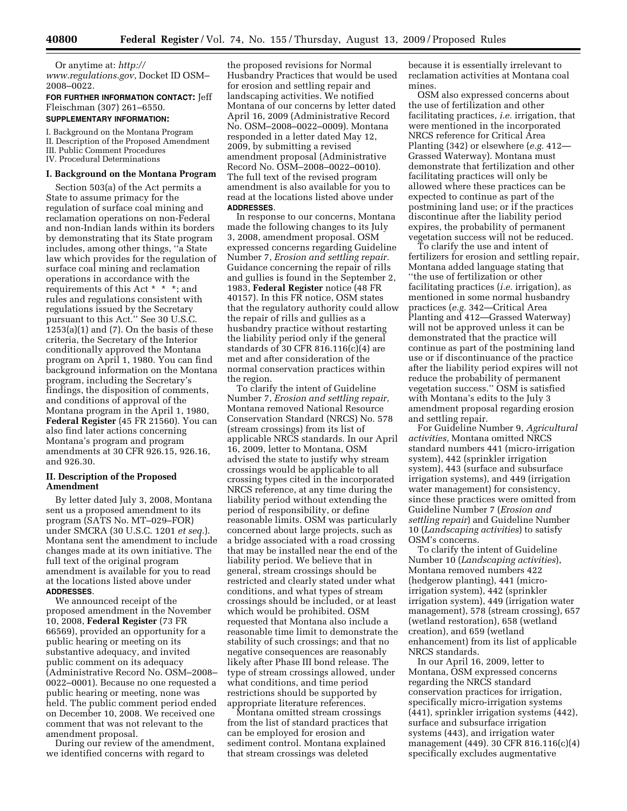Or anytime at: *http://* 

*www.regulations.gov*, Docket ID OSM– 2008–0022.

# **FOR FURTHER INFORMATION CONTACT:** Jeff Fleischman (307) 261–6550. **SUPPLEMENTARY INFORMATION:**

I. Background on the Montana Program II. Description of the Proposed Amendment III. Public Comment Procedures

IV. Procedural Determinations

#### **I. Background on the Montana Program**

Section 503(a) of the Act permits a State to assume primacy for the regulation of surface coal mining and reclamation operations on non-Federal and non-Indian lands within its borders by demonstrating that its State program includes, among other things, ''a State law which provides for the regulation of surface coal mining and reclamation operations in accordance with the requirements of this Act \* \* \*; and rules and regulations consistent with regulations issued by the Secretary pursuant to this Act.'' See 30 U.S.C.  $1253(a)(1)$  and  $(7)$ . On the basis of these criteria, the Secretary of the Interior conditionally approved the Montana program on April 1, 1980. You can find background information on the Montana program, including the Secretary's findings, the disposition of comments, and conditions of approval of the Montana program in the April 1, 1980, **Federal Register** (45 FR 21560). You can also find later actions concerning Montana's program and program amendments at 30 CFR 926.15, 926.16, and 926.30.

## **II. Description of the Proposed Amendment**

By letter dated July 3, 2008, Montana sent us a proposed amendment to its program (SATS No. MT–029–FOR) under SMCRA (30 U.S.C. 1201 *et seq.*). Montana sent the amendment to include changes made at its own initiative. The full text of the original program amendment is available for you to read at the locations listed above under **ADDRESSES**.

We announced receipt of the proposed amendment in the November 10, 2008, **Federal Register** (73 FR 66569), provided an opportunity for a public hearing or meeting on its substantive adequacy, and invited public comment on its adequacy (Administrative Record No. OSM–2008– 0022–0001). Because no one requested a public hearing or meeting, none was held. The public comment period ended on December 10, 2008. We received one comment that was not relevant to the amendment proposal.

During our review of the amendment, we identified concerns with regard to

the proposed revisions for Normal Husbandry Practices that would be used for erosion and settling repair and landscaping activities. We notified Montana of our concerns by letter dated April 16, 2009 (Administrative Record No. OSM–2008–0022–0009). Montana responded in a letter dated May 12, 2009, by submitting a revised amendment proposal (Administrative Record No. OSM–2008–0022–0010). The full text of the revised program amendment is also available for you to read at the locations listed above under **ADDRESSES**.

In response to our concerns, Montana made the following changes to its July 3, 2008, amendment proposal. OSM expressed concerns regarding Guideline Number 7, *Erosion and settling repair.*  Guidance concerning the repair of rills and gullies is found in the September 2, 1983, **Federal Register** notice (48 FR 40157). In this FR notice, OSM states that the regulatory authority could allow the repair of rills and gullies as a husbandry practice without restarting the liability period only if the general standards of 30 CFR 816.116(c)(4) are met and after consideration of the normal conservation practices within the region.

To clarify the intent of Guideline Number 7, *Erosion and settling repair,*  Montana removed National Resource Conservation Standard (NRCS) No. 578 (stream crossings) from its list of applicable NRCS standards. In our April 16, 2009, letter to Montana, OSM advised the state to justify why stream crossings would be applicable to all crossing types cited in the incorporated NRCS reference, at any time during the liability period without extending the period of responsibility, or define reasonable limits. OSM was particularly concerned about large projects, such as a bridge associated with a road crossing that may be installed near the end of the liability period. We believe that in general, stream crossings should be restricted and clearly stated under what conditions, and what types of stream crossings should be included, or at least which would be prohibited. OSM requested that Montana also include a reasonable time limit to demonstrate the stability of such crossings; and that no negative consequences are reasonably likely after Phase III bond release. The type of stream crossings allowed, under what conditions, and time period restrictions should be supported by appropriate literature references.

Montana omitted stream crossings from the list of standard practices that can be employed for erosion and sediment control. Montana explained that stream crossings was deleted

because it is essentially irrelevant to reclamation activities at Montana coal mines.

OSM also expressed concerns about the use of fertilization and other facilitating practices, *i.e.* irrigation, that were mentioned in the incorporated NRCS reference for Critical Area Planting (342) or elsewhere (*e.g.* 412— Grassed Waterway). Montana must demonstrate that fertilization and other facilitating practices will only be allowed where these practices can be expected to continue as part of the postmining land use; or if the practices discontinue after the liability period expires, the probability of permanent vegetation success will not be reduced.

To clarify the use and intent of fertilizers for erosion and settling repair, Montana added language stating that ''the use of fertilization or other facilitating practices (*i.e.* irrigation), as mentioned in some normal husbandry practices (*e.g.* 342—Critical Area Planting and 412—Grassed Waterway) will not be approved unless it can be demonstrated that the practice will continue as part of the postmining land use or if discontinuance of the practice after the liability period expires will not reduce the probability of permanent vegetation success.'' OSM is satisfied with Montana's edits to the July 3 amendment proposal regarding erosion and settling repair.

For Guideline Number 9, *Agricultural activities,* Montana omitted NRCS standard numbers 441 (micro-irrigation system), 442 (sprinkler irrigation system), 443 (surface and subsurface irrigation systems), and 449 (irrigation water management) for consistency, since these practices were omitted from Guideline Number 7 (*Erosion and settling repair*) and Guideline Number 10 (*Landscaping activities*) to satisfy OSM's concerns.

To clarify the intent of Guideline Number 10 (*Landscaping activities*), Montana removed numbers 422 (hedgerow planting), 441 (microirrigation system), 442 (sprinkler irrigation system), 449 (irrigation water management), 578 (stream crossing), 657 (wetland restoration), 658 (wetland creation), and 659 (wetland enhancement) from its list of applicable NRCS standards.

In our April 16, 2009, letter to Montana, OSM expressed concerns regarding the NRCS standard conservation practices for irrigation, specifically micro-irrigation systems (441), sprinkler irrigation systems (442), surface and subsurface irrigation systems (443), and irrigation water management (449). 30 CFR 816.116(c)(4) specifically excludes augmentative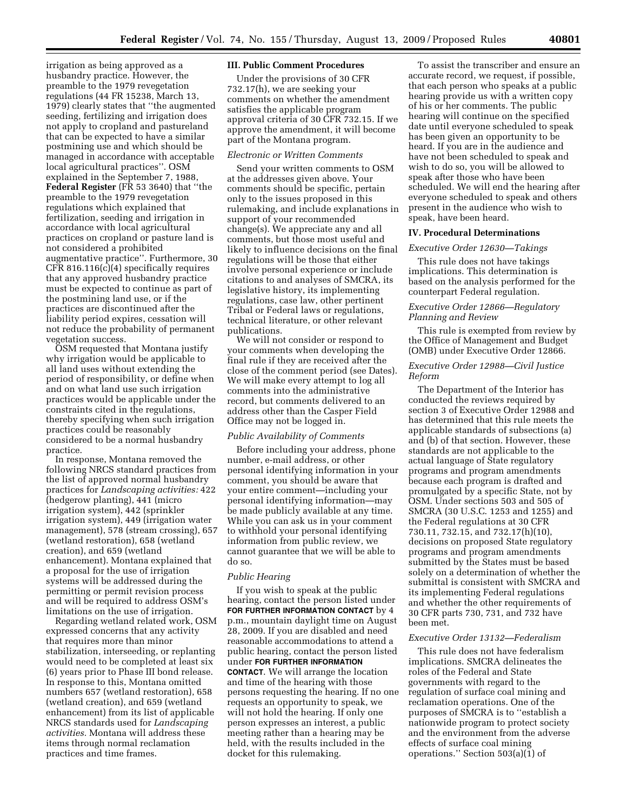irrigation as being approved as a husbandry practice. However, the preamble to the 1979 revegetation regulations (44 FR 15238, March 13, 1979) clearly states that ''the augmented seeding, fertilizing and irrigation does not apply to cropland and pastureland that can be expected to have a similar postmining use and which should be managed in accordance with acceptable local agricultural practices''. OSM explained in the September 7, 1988, **Federal Register** (FR 53 3640) that ''the preamble to the 1979 revegetation regulations which explained that fertilization, seeding and irrigation in accordance with local agricultural practices on cropland or pasture land is not considered a prohibited augmentative practice''. Furthermore, 30 CFR 816.116(c)(4) specifically requires that any approved husbandry practice must be expected to continue as part of the postmining land use, or if the practices are discontinued after the liability period expires, cessation will not reduce the probability of permanent vegetation success.

OSM requested that Montana justify why irrigation would be applicable to all land uses without extending the period of responsibility, or define when and on what land use such irrigation practices would be applicable under the constraints cited in the regulations, thereby specifying when such irrigation practices could be reasonably considered to be a normal husbandry practice.

In response, Montana removed the following NRCS standard practices from the list of approved normal husbandry practices for *Landscaping activities:* 422 (hedgerow planting), 441 (micro irrigation system), 442 (sprinkler irrigation system), 449 (irrigation water management), 578 (stream crossing), 657 (wetland restoration), 658 (wetland creation), and 659 (wetland enhancement). Montana explained that a proposal for the use of irrigation systems will be addressed during the permitting or permit revision process and will be required to address OSM's limitations on the use of irrigation.

Regarding wetland related work, OSM expressed concerns that any activity that requires more than minor stabilization, interseeding, or replanting would need to be completed at least six (6) years prior to Phase III bond release. In response to this, Montana omitted numbers 657 (wetland restoration), 658 (wetland creation), and 659 (wetland enhancement) from its list of applicable NRCS standards used for *Landscaping activities.* Montana will address these items through normal reclamation practices and time frames.

## **III. Public Comment Procedures**

Under the provisions of 30 CFR 732.17(h), we are seeking your comments on whether the amendment satisfies the applicable program approval criteria of 30 CFR 732.15. If we approve the amendment, it will become part of the Montana program.

#### *Electronic or Written Comments*

Send your written comments to OSM at the addresses given above. Your comments should be specific, pertain only to the issues proposed in this rulemaking, and include explanations in support of your recommended change(s). We appreciate any and all comments, but those most useful and likely to influence decisions on the final regulations will be those that either involve personal experience or include citations to and analyses of SMCRA, its legislative history, its implementing regulations, case law, other pertinent Tribal or Federal laws or regulations, technical literature, or other relevant publications.

We will not consider or respond to your comments when developing the final rule if they are received after the close of the comment period (see Dates). We will make every attempt to log all comments into the administrative record, but comments delivered to an address other than the Casper Field Office may not be logged in.

## *Public Availability of Comments*

Before including your address, phone number, e-mail address, or other personal identifying information in your comment, you should be aware that your entire comment—including your personal identifying information—may be made publicly available at any time. While you can ask us in your comment to withhold your personal identifying information from public review, we cannot guarantee that we will be able to do so.

#### *Public Hearing*

If you wish to speak at the public hearing, contact the person listed under **FOR FURTHER INFORMATION CONTACT** by 4 p.m., mountain daylight time on August 28, 2009. If you are disabled and need reasonable accommodations to attend a public hearing, contact the person listed under **FOR FURTHER INFORMATION CONTACT**. We will arrange the location and time of the hearing with those persons requesting the hearing. If no one requests an opportunity to speak, we will not hold the hearing. If only one person expresses an interest, a public meeting rather than a hearing may be held, with the results included in the docket for this rulemaking.

To assist the transcriber and ensure an accurate record, we request, if possible, that each person who speaks at a public hearing provide us with a written copy of his or her comments. The public hearing will continue on the specified date until everyone scheduled to speak has been given an opportunity to be heard. If you are in the audience and have not been scheduled to speak and wish to do so, you will be allowed to speak after those who have been scheduled. We will end the hearing after everyone scheduled to speak and others present in the audience who wish to speak, have been heard.

#### **IV. Procedural Determinations**

# *Executive Order 12630—Takings*

This rule does not have takings implications. This determination is based on the analysis performed for the counterpart Federal regulation.

# *Executive Order 12866—Regulatory Planning and Review*

This rule is exempted from review by the Office of Management and Budget (OMB) under Executive Order 12866.

#### *Executive Order 12988—Civil Justice Reform*

The Department of the Interior has conducted the reviews required by section 3 of Executive Order 12988 and has determined that this rule meets the applicable standards of subsections (a) and (b) of that section. However, these standards are not applicable to the actual language of State regulatory programs and program amendments because each program is drafted and promulgated by a specific State, not by OSM. Under sections 503 and 505 of SMCRA (30 U.S.C. 1253 and 1255) and the Federal regulations at 30 CFR 730.11, 732.15, and 732.17(h)(10), decisions on proposed State regulatory programs and program amendments submitted by the States must be based solely on a determination of whether the submittal is consistent with SMCRA and its implementing Federal regulations and whether the other requirements of 30 CFR parts 730, 731, and 732 have been met.

### *Executive Order 13132—Federalism*

This rule does not have federalism implications. SMCRA delineates the roles of the Federal and State governments with regard to the regulation of surface coal mining and reclamation operations. One of the purposes of SMCRA is to ''establish a nationwide program to protect society and the environment from the adverse effects of surface coal mining operations.'' Section 503(a)(1) of